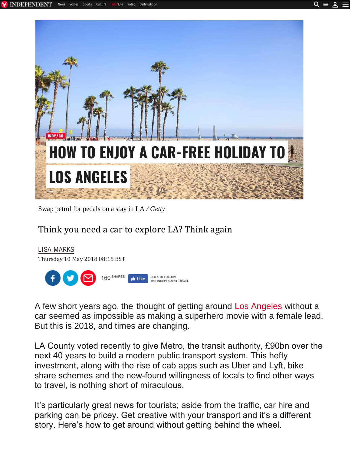

Swap petrol for pedals on a stay in LA */ Getty*

### Think you need a car to explore LA? Think again

LISA MARKS Thursday 10 May 2018 08:15 BST 160 SHARES CLICK TO FOLLOW<br>THE INDEPENDENT TRAVEL  $\mathbf{r}$  Like

A few short years ago, the thought of getting around Los Angeles without a car seemed as impossible as making a superhero movie with a female lead. But this is 2018, and times are changing.

LA County voted recently to give Metro, the transit authority, [£90bn over](https://www.independent.co.uk/travel/americas/downtown-los-angeles-travel-trips-where-to-go-and-what-to-see-in-48-hours-10057931.html) the n[ext 40 yea](https://www.independent.co.uk/travel/americas/downtown-los-angeles-travel-trips-where-to-go-and-what-to-see-in-48-hours-10057931.html)rs to build a modern public transport system. This hefty investment, along with the rise of cab apps such as Uber and Lyft, bike share schemes and the new-found willingness of locals to find other ways to travel, is nothing short of miraculous.

It's particularly great news for tourists; aside from the traffic, car hire and parking can be pricey. Get creative with your transport and it's a different story. Here's how to get around without getting behind the wheel.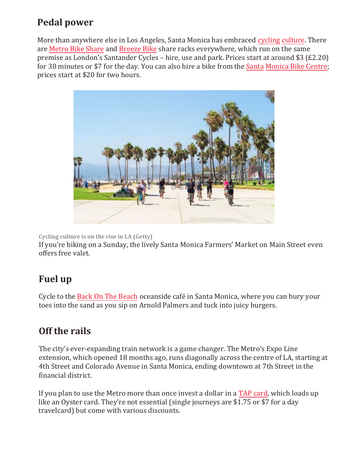# **Pedal power**

More than anywhere else in Los Angeles, Santa Monica has embraced cycling culture. There are [Metro Bike Share](https://bikeshare.metro.net/) and [Breeze Bike](https://santamonicabikeshare.com/) share racks everywhere, which run on the same premise as London's Santander Cycles – hire, use and park. Prices start at around \$3 (£2.20) for 30 minutes or \$7 for the day. You can also hire a bike from the [Santa Monica Bike Centre;](http://smbikecenter.com/) prices start at \$20 for two hours.



**Cycling culture is on the rise in LA (Getty)** 

If you're biking on a Sunday, the lively Santa Monica Farmers' Market on Main Street even offers free valet.

# **Fuel up**

Cycle to the Back On The Beach oceanside café in Santa Monica, where you can bury your toes into the sand as you sip on Arnold Palmers and tuck into juicy burgers.

# **Off the rails**

The city's ever-expanding train network is a game changer. The Metro's Expo Line extension, which opened 18 months ago, runs diagonally across the centre of LA, starting at 4th Street and Colorado Avenue in Santa Monica, ending downtown at 7th Street in the financial district.

If you plan to use the Metro more than once invest a dollar in a TAP card, which loads up like an Oyster card. They're not essential (single journeys are \$1.75 or \$7 for a day travelcard) but come with various discounts.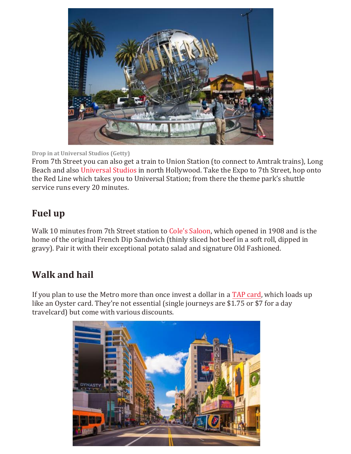

#### **Drop in at Universal Studios (Getty)**

From 7th Street you can also get a train to Union Station (to connect to Amtrak trains), Long Beach and also [Universal Studios](http://www.universalstudioshollywood.com/) in north Hollywood. Take the Expo to 7th Street, hop onto the Red Line which takes you to Universal Station; from there the theme park's shuttle service runs every 20 minutes.

# **Fuel up**

Walk 10 minutes from 7th Street station to [Cole's Saloon](http://213hospitality.com/project/coles/), which opened in 1908 and is the home of the original French Dip Sandwich (thinly sliced hot beef in a soft roll, dipped in gravy). Pair it with their exceptional potato salad and signature Old Fashioned.

# **Walk and hail**

If you plan to use the Metro more than once invest a dollar in a TAP card, which loads up like an Oyster card. They're not essential (single journeys are \$1.75 or \$7 for a day travelcard) but come with various discounts.

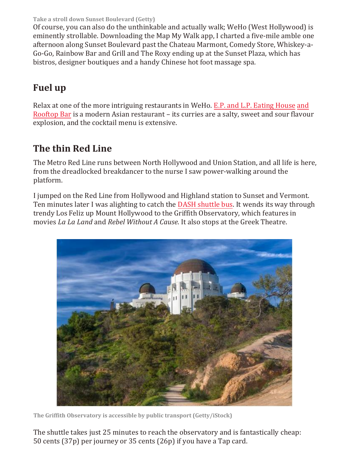**Take a stroll down Sunset Boulevard (Getty)** 

Of course, you can also do the unthinkable and actually walk; WeHo (West Hollywood) is eminently strollable. Downloading the Map My Walk app, I charted a five-mile amble one afternoon along Sunset Boulevard past the Chateau Marmont, Comedy Store, Whiskey-a-Go-Go, Rainbow Bar and Grill and The Roxy ending up at the Sunset Plaza, which has bistros, designer boutiques and a handy Chinese hot foot massage spa.

# **Fuel up**

Relax at one of the more intriguing restaurants in WeHo. E.P. and L.P. Eating House and Rooftop Bar is a modern Asian restaurant – its curries are a salty, sweet and sour flavour explosion, and the cocktail menu is extensive.

# **The thin Red Line**

The Metro Red Line runs between North Hollywood and Union Station, and all life is here, from the dreadlocked breakdancer to the nurse I saw power-walking around the platform.

I jumped on the Red Line from Hollywood and Highland station to Sunset and Vermont. Ten minutes later I was alighting to catch the DASH shuttle bus. It wends its way through trendy Los Feliz up Mount Hollywood to the Griffith Observatory, which features in movies *La La Land* and *Rebel Without A Cause*. It also stops at the Greek Theatre.



**The Griffith Observatory is accessible by public transport (Getty/iStock)** 

The shuttle takes just 25 minutes to reach the observatory and is fantastically cheap: 50 cents (37p) per journey or 35 cents (26p) if you have a Tap card.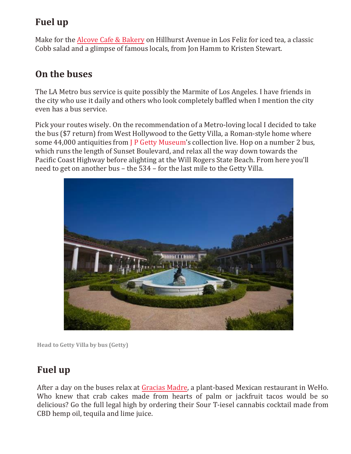# **Fuel up**

Make for the [Alcove Cafe & Bakery](https://www.alcovecafe.com/) on Hillhurst Avenue in Los Feliz for iced tea, a classic Cobb salad and a glimpse of famous locals, from Jon Hamm to Kristen Stewart.

# **On the buses**

The LA Metro bus service is quite possibly the Marmite of Los Angeles. I have friends in the city who use it daily and others who look completely baffled when I mention the city even has a bus service.

Pick your routes wisely. On the recommendation of a Metro-loving local I decided to take the bus (\$7 return) from West Hollywood to the Getty Villa, a Roman-style home where some 44,000 antiquities from [J P Getty Museum](http://www.getty.edu/visit/villa/)'s collection live. Hop on a number 2 bus, which runs the length of Sunset Boulevard, and relax all the way down towards the Pacific Coast Highway before alighting at the Will Rogers State Beach. From here you'll need to get on another bus – the 534 – for the last mile to the Getty Villa.



**Head to Getty Villa by bus (Getty)** 

# **Fuel up**

After a day on the buses relax at Gracias Madre, a plant-based Mexican restaurant in WeHo. Who knew that crab cakes made from hearts of palm or jackfruit tacos would be so delicious? Go the full legal high by ordering their Sour T-iesel cannabis cocktail made from CBD hemp oil, tequila and lime juice.